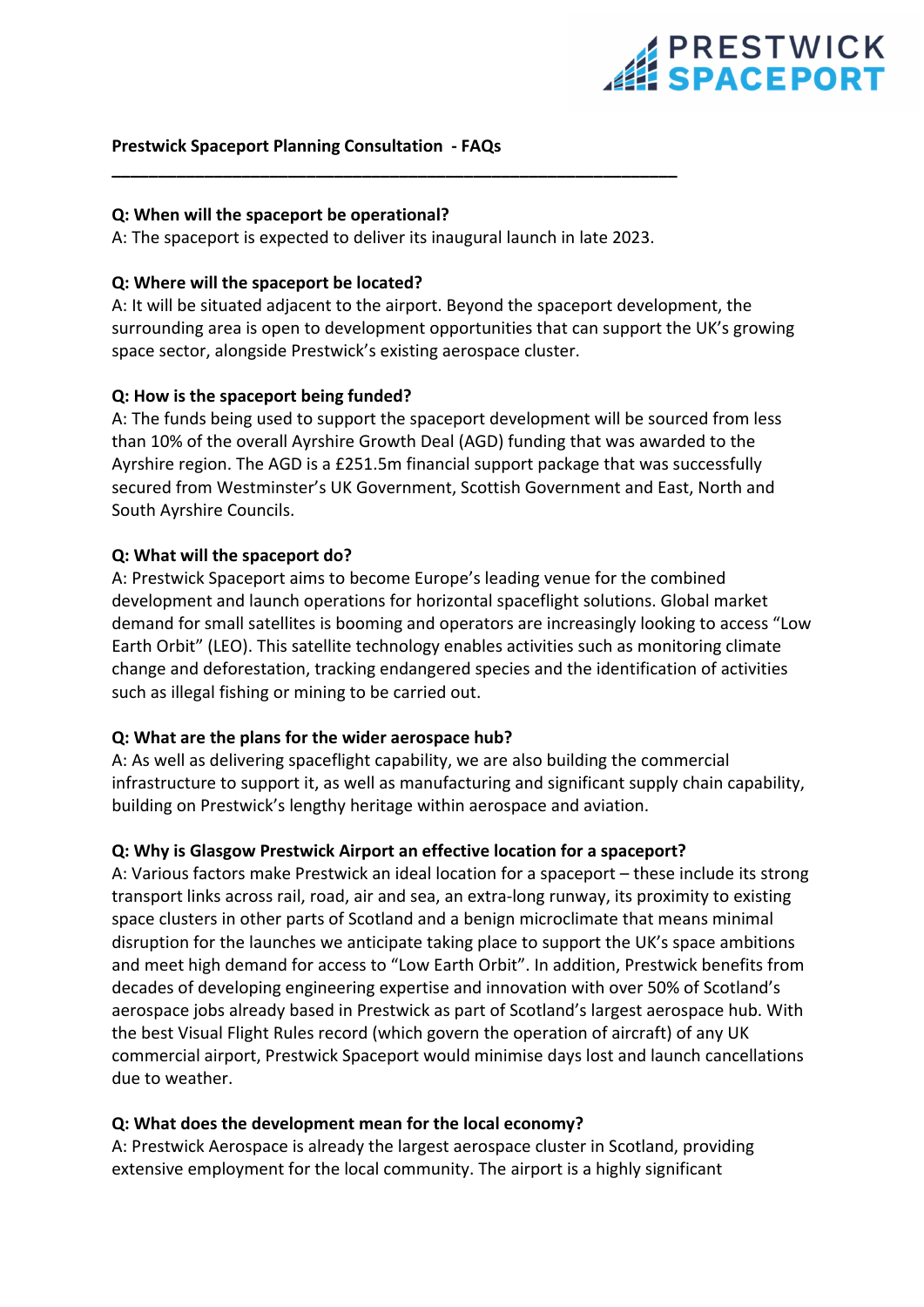# **EPRESTWICK**

#### **Prestwick Spaceport Planning Consultation ‐ FAQs**

#### **Q: When will the spaceport be operational?**

A: The spaceport is expected to deliver its inaugural launch in late 2023.

**\_\_\_\_\_\_\_\_\_\_\_\_\_\_\_\_\_\_\_\_\_\_\_\_\_\_\_\_\_\_\_\_\_\_\_\_\_\_\_\_\_\_\_\_\_\_\_\_\_\_\_\_\_\_\_\_\_\_\_\_\_**

#### **Q: Where will the spaceport be located?**

A: It will be situated adjacent to the airport. Beyond the spaceport development, the surrounding area is open to development opportunities that can support the UK's growing space sector, alongside Prestwick's existing aerospace cluster.

#### **Q: How is the spaceport being funded?**

A: The funds being used to support the spaceport development will be sourced from less than 10% of the overall Ayrshire Growth Deal (AGD) funding that was awarded to the Ayrshire region. The AGD is a £251.5m financial support package that was successfully secured from Westminster's UK Government, Scottish Government and East, North and South Ayrshire Councils.

#### **Q: What will the spaceport do?**

A: Prestwick Spaceport aims to become Europe's leading venue for the combined development and launch operations for horizontal spaceflight solutions. Global market demand for small satellites is booming and operators are increasingly looking to access "Low Earth Orbit" (LEO). This satellite technology enables activities such as monitoring climate change and deforestation, tracking endangered species and the identification of activities such as illegal fishing or mining to be carried out.

#### **Q: What are the plans for the wider aerospace hub?**

A: As well as delivering spaceflight capability, we are also building the commercial infrastructure to support it, as well as manufacturing and significant supply chain capability, building on Prestwick's lengthy heritage within aerospace and aviation.

#### **Q: Why is Glasgow Prestwick Airport an effective location for a spaceport?**

A: Various factors make Prestwick an ideal location for a spaceport – these include its strong transport links across rail, road, air and sea, an extra‐long runway, its proximity to existing space clusters in other parts of Scotland and a benign microclimate that means minimal disruption for the launches we anticipate taking place to support the UK's space ambitions and meet high demand for access to "Low Earth Orbit". In addition, Prestwick benefits from decades of developing engineering expertise and innovation with over 50% of Scotland's aerospace jobs already based in Prestwick as part of Scotland's largest aerospace hub. With the best Visual Flight Rules record (which govern the operation of aircraft) of any UK commercial airport, Prestwick Spaceport would minimise days lost and launch cancellations due to weather.

#### **Q: What does the development mean for the local economy?**

A: Prestwick Aerospace is already the largest aerospace cluster in Scotland, providing extensive employment for the local community. The airport is a highly significant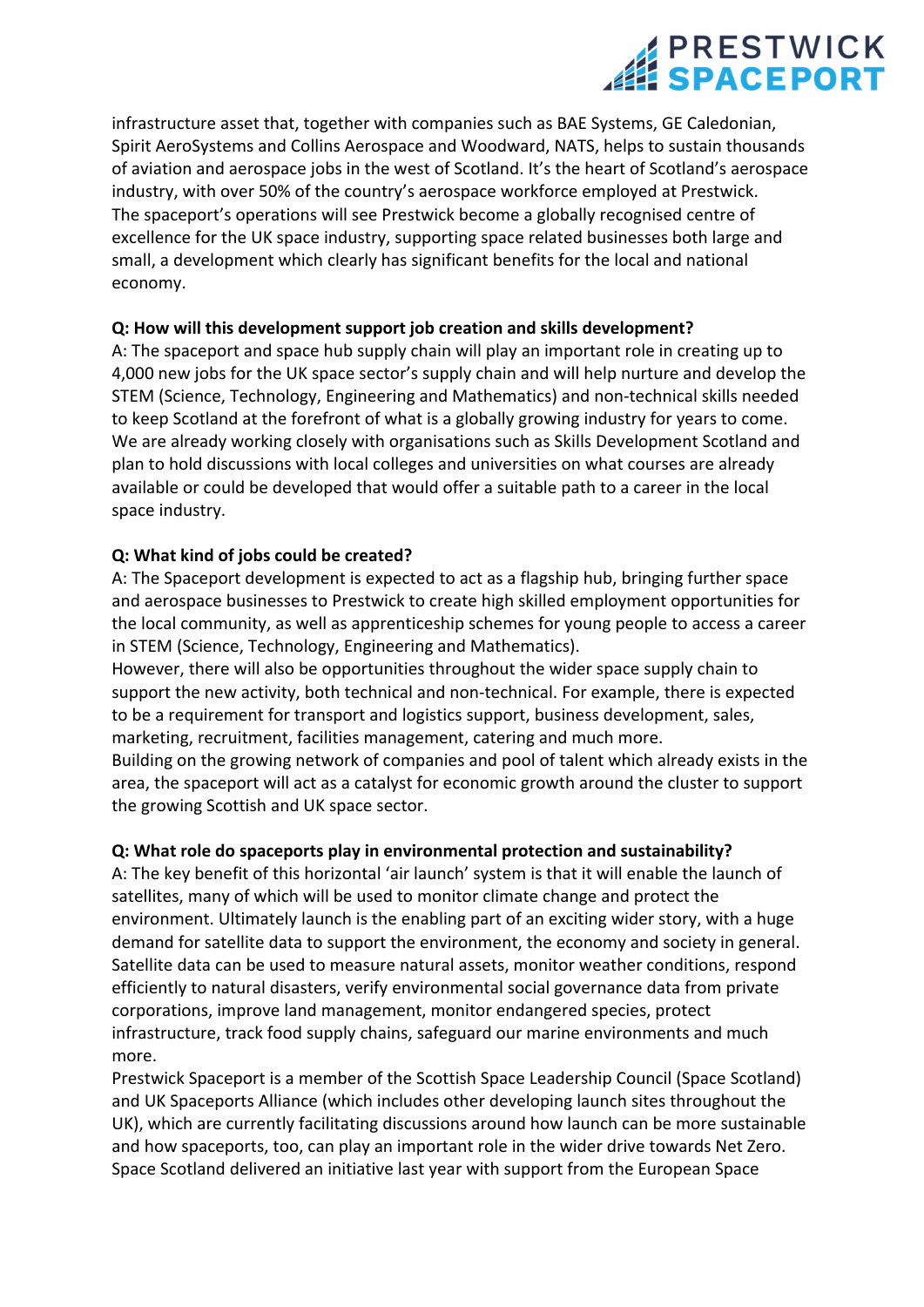# **SPACEPORT**

infrastructure asset that, together with companies such as BAE Systems, GE Caledonian, Spirit AeroSystems and Collins Aerospace and Woodward, NATS, helps to sustain thousands of aviation and aerospace jobs in the west of Scotland. It's the heart of Scotland's aerospace industry, with over 50% of the country's aerospace workforce employed at Prestwick. The spaceport's operations will see Prestwick become a globally recognised centre of excellence for the UK space industry, supporting space related businesses both large and small, a development which clearly has significant benefits for the local and national economy.

## **Q: How will this development support job creation and skills development?**

A: The spaceport and space hub supply chain will play an important role in creating up to 4,000 new jobs for the UK space sector's supply chain and will help nurture and develop the STEM (Science, Technology, Engineering and Mathematics) and non‐technical skills needed to keep Scotland at the forefront of what is a globally growing industry for years to come. We are already working closely with organisations such as Skills Development Scotland and plan to hold discussions with local colleges and universities on what courses are already available or could be developed that would offer a suitable path to a career in the local space industry.

## **Q: What kind of jobs could be created?**

A: The Spaceport development is expected to act as a flagship hub, bringing further space and aerospace businesses to Prestwick to create high skilled employment opportunities for the local community, as well as apprenticeship schemes for young people to access a career in STEM (Science, Technology, Engineering and Mathematics).

However, there will also be opportunities throughout the wider space supply chain to support the new activity, both technical and non-technical. For example, there is expected to be a requirement for transport and logistics support, business development, sales, marketing, recruitment, facilities management, catering and much more.

Building on the growing network of companies and pool of talent which already exists in the area, the spaceport will act as a catalyst for economic growth around the cluster to support the growing Scottish and UK space sector.

## **Q: What role do spaceports play in environmental protection and sustainability?**

A: The key benefit of this horizontal 'air launch' system is that it will enable the launch of satellites, many of which will be used to monitor climate change and protect the environment. Ultimately launch is the enabling part of an exciting wider story, with a huge demand for satellite data to support the environment, the economy and society in general. Satellite data can be used to measure natural assets, monitor weather conditions, respond efficiently to natural disasters, verify environmental social governance data from private corporations, improve land management, monitor endangered species, protect infrastructure, track food supply chains, safeguard our marine environments and much more.

Prestwick Spaceport is a member of the Scottish Space Leadership Council (Space Scotland) and UK Spaceports Alliance (which includes other developing launch sites throughout the UK), which are currently facilitating discussions around how launch can be more sustainable and how spaceports, too, can play an important role in the wider drive towards Net Zero. Space Scotland delivered an initiative last year with support from the European Space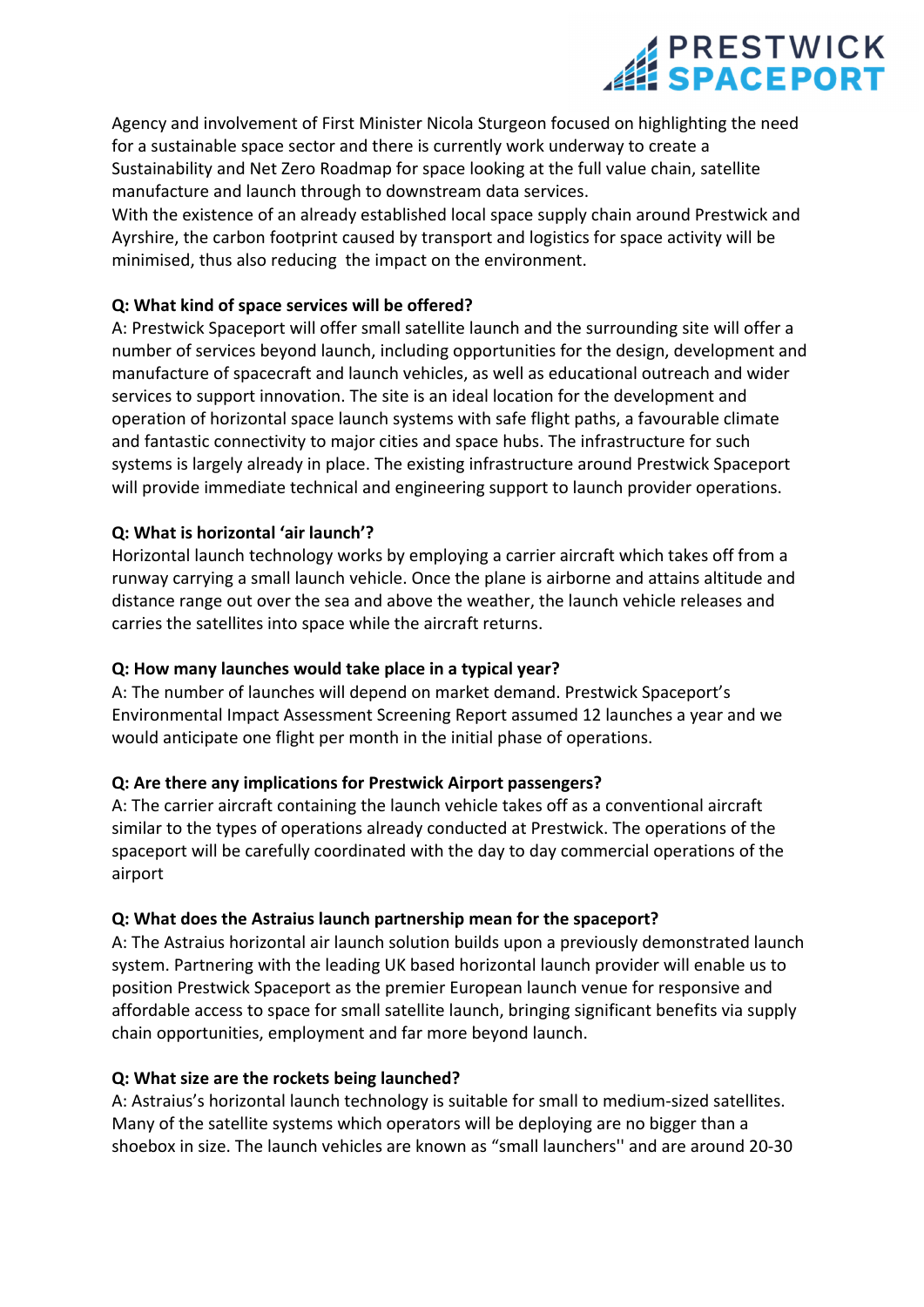## **EXPRESTWICK**

Agency and involvement of First Minister Nicola Sturgeon focused on highlighting the need for a sustainable space sector and there is currently work underway to create a Sustainability and Net Zero Roadmap for space looking at the full value chain, satellite manufacture and launch through to downstream data services.

With the existence of an already established local space supply chain around Prestwick and Ayrshire, the carbon footprint caused by transport and logistics for space activity will be minimised, thus also reducing the impact on the environment.

### **Q: What kind of space services will be offered?**

A: Prestwick Spaceport will offer small satellite launch and the surrounding site will offer a number of services beyond launch, including opportunities for the design, development and manufacture of spacecraft and launch vehicles, as well as educational outreach and wider services to support innovation. The site is an ideal location for the development and operation of horizontal space launch systems with safe flight paths, a favourable climate and fantastic connectivity to major cities and space hubs. The infrastructure for such systems is largely already in place. The existing infrastructure around Prestwick Spaceport will provide immediate technical and engineering support to launch provider operations.

### **Q: What is horizontal 'air launch'?**

Horizontal launch technology works by employing a carrier aircraft which takes off from a runway carrying a small launch vehicle. Once the plane is airborne and attains altitude and distance range out over the sea and above the weather, the launch vehicle releases and carries the satellites into space while the aircraft returns.

#### **Q: How many launches would take place in a typical year?**

A: The number of launches will depend on market demand. Prestwick Spaceport's Environmental Impact Assessment Screening Report assumed 12 launches a year and we would anticipate one flight per month in the initial phase of operations.

#### **Q: Are there any implications for Prestwick Airport passengers?**

A: The carrier aircraft containing the launch vehicle takes off as a conventional aircraft similar to the types of operations already conducted at Prestwick. The operations of the spaceport will be carefully coordinated with the day to day commercial operations of the airport

#### **Q: What does the Astraius launch partnership mean for the spaceport?**

A: The Astraius horizontal air launch solution builds upon a previously demonstrated launch system. Partnering with the leading UK based horizontal launch provider will enable us to position Prestwick Spaceport as the premier European launch venue for responsive and affordable access to space for small satellite launch, bringing significant benefits via supply chain opportunities, employment and far more beyond launch.

#### **Q: What size are the rockets being launched?**

A: Astraius's horizontal launch technology is suitable for small to medium‐sized satellites. Many of the satellite systems which operators will be deploying are no bigger than a shoebox in size. The launch vehicles are known as "small launchers'' and are around 20‐30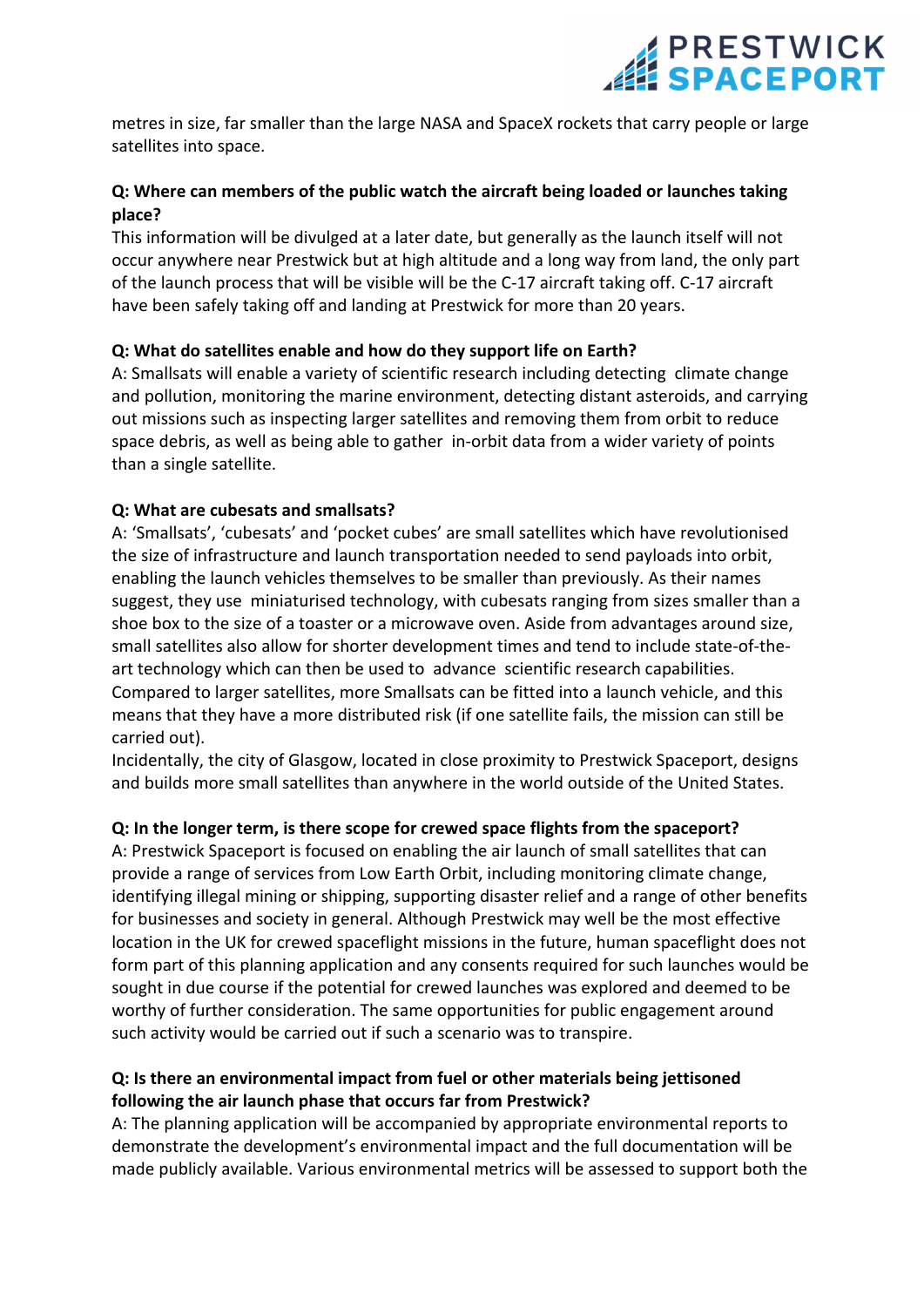## **SPACEPORT**

metres in size, far smaller than the large NASA and SpaceX rockets that carry people or large satellites into space.

### **Q: Where can members of the public watch the aircraft being loaded or launches taking place?**

This information will be divulged at a later date, but generally as the launch itself will not occur anywhere near Prestwick but at high altitude and a long way from land, the only part of the launch process that will be visible will be the C‐17 aircraft taking off. C‐17 aircraft have been safely taking off and landing at Prestwick for more than 20 years.

### **Q: What do satellites enable and how do they support life on Earth?**

A: Smallsats will enable a variety of scientific research including detecting climate change and pollution, monitoring the marine environment, detecting distant asteroids, and carrying out missions such as inspecting larger satellites and removing them from orbit to reduce space debris, as well as being able to gather in-orbit data from a wider variety of points than a single satellite.

### **Q: What are cubesats and smallsats?**

A: 'Smallsats', 'cubesats' and 'pocket cubes' are small satellites which have revolutionised the size of infrastructure and launch transportation needed to send payloads into orbit, enabling the launch vehicles themselves to be smaller than previously. As their names suggest, they use miniaturised technology, with cubesats ranging from sizes smaller than a shoe box to the size of a toaster or a microwave oven. Aside from advantages around size, small satellites also allow for shorter development times and tend to include state-of-theart technology which can then be used to advance scientific research capabilities. Compared to larger satellites, more Smallsats can be fitted into a launch vehicle, and this means that they have a more distributed risk (if one satellite fails, the mission can still be carried out).

Incidentally, the city of Glasgow, located in close proximity to Prestwick Spaceport, designs and builds more small satellites than anywhere in the world outside of the United States.

## **Q: In the longer term, is there scope for crewed space flights from the spaceport?**

A: Prestwick Spaceport is focused on enabling the air launch of small satellites that can provide a range of services from Low Earth Orbit, including monitoring climate change, identifying illegal mining or shipping, supporting disaster relief and a range of other benefits for businesses and society in general. Although Prestwick may well be the most effective location in the UK for crewed spaceflight missions in the future, human spaceflight does not form part of this planning application and any consents required for such launches would be sought in due course if the potential for crewed launches was explored and deemed to be worthy of further consideration. The same opportunities for public engagement around such activity would be carried out if such a scenario was to transpire.

### **Q: Is there an environmental impact from fuel or other materials being jettisoned following the air launch phase that occurs far from Prestwick?**

A: The planning application will be accompanied by appropriate environmental reports to demonstrate the development's environmental impact and the full documentation will be made publicly available. Various environmental metrics will be assessed to support both the